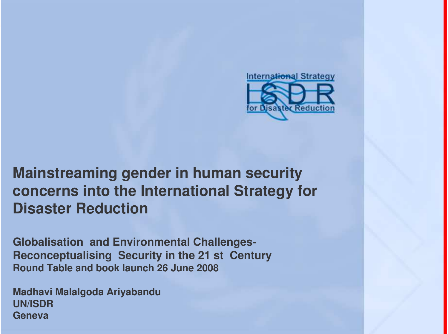

#### **Mainstreaming gender in human security concerns into the International Strategy for Disaster Reduction**

**Globalisation and Environmental Challenges-Reconceptualising Security in the 21 st Century Round Table and book launch 26 June 2008**

**Madhavi Malalgoda Ariyabandu UN/ISDRGeneva**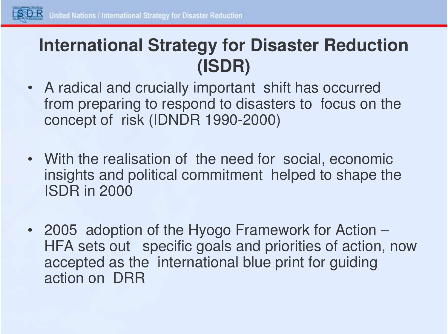

### **International Strategy for Disaster Reduction (ISDR)**

- A radical and crucially important shift has occurred from preparing to respond to disasters to focus on the concept of risk (IDNDR 1990-2000)
- With the realisation of the need for social, economic insights and political commitment helped to shape the ISDR in 2000
- 2005 adoption of the Hyogo Framework for Action HFA sets out specific goals and priorities of action, now accepted as the international blue print for guiding action on DRR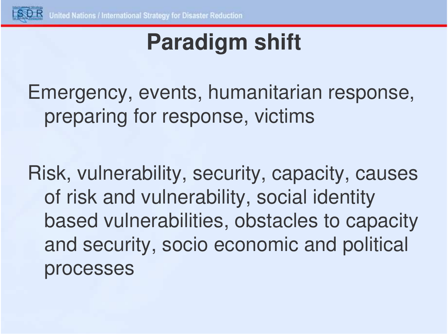

# **Paradigm shift**

Emergency, events, humanitarian response, preparing for response, victims

Risk, vulnerability, security, capacity, causes of risk and vulnerability, social identity based vulnerabilities, obstacles to capacity and security, socio economic and political processes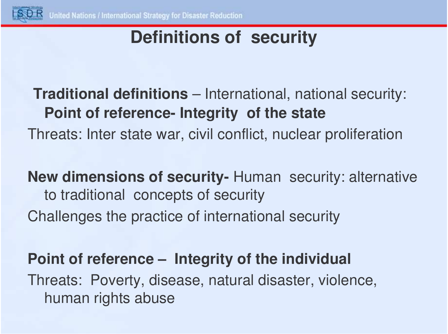

## **Definitions of security**

### **Traditional definitions** – International, national security: **Point of reference- Integrity of the state** Threats: Inter state war, civil conflict, nuclear proliferation

**New dimensions of security-** Human security: alternative to traditional concepts of security Challenges the practice of international security

#### **Point of reference – Integrity of the individual**

Threats: Poverty, disease, natural disaster, violence, human rights abuse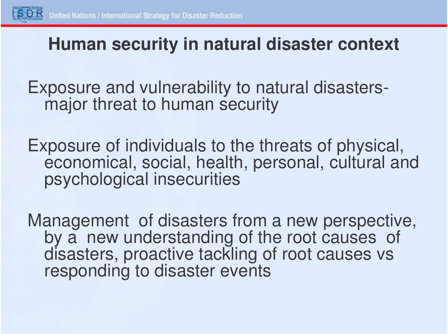

#### **Human security in natural disaster context**

Exposure and vulnerability to natural disastersmajor threat to human security

Exposure of individuals to the threats of physical, economical, social, health, personal, cultural and psychological insecurities

Management of disasters from <sup>a</sup> new perspective, by <sup>a</sup> new understanding of the root causes of disasters, proactive tackling of root causes vs responding to disaster events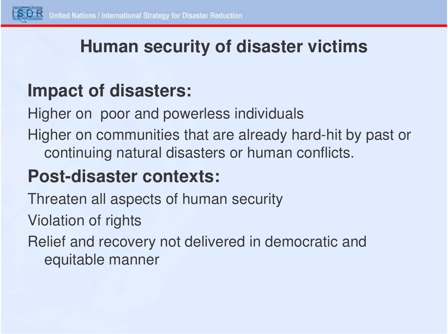

#### **Human security of disaster victims**

## **Impact of disasters:**

Higher on poor and powerless individuals

Higher on communities that are already hard-hit by past or continuing natural disasters or human conflicts.

## **Post-disaster contexts:**

- Threaten all aspects of human security
- Violation of rights

Relief and recovery not delivered in democratic and equitable manner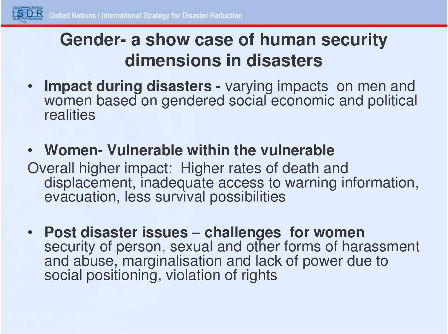

## **Gender- a show case of human security dimensions in disasters**

- • **Impact during disasters -** varying impacts on men and women based on gendered social economic and political realities
- **Women- Vulnerable within the vulnerable**
- Overall higher impact: Higher rates of death and displacement, inadequate access to warning information, evacuation, less survival possibilities
- **Post disaster issues – challenges for women** security of person, sexual and other forms of harassment and abuse, marginalisation and lack of power due to social positioning, violation of rights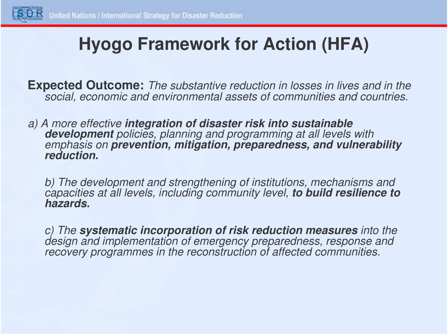

## **Hyogo Framework for Action (HFA)**

**Expected Outcome:** *The substantive reduction in losses in lives and in the social, economic and environmental assets of communities and countries.*

*a) A more effective integration of disaster risk into sustainable development policies, planning and programming at all levels with emphasis on prevention, mitigation, preparedness, and vulnerability reduction.*

*b) The development and strengthening of institutions, mechanisms and capacities at all levels, including community level, to build resilience to hazards.*

*c) The systematic incorporation of risk reduction measures into the design and implementation of emergency preparedness, response and recovery programmes in the reconstruction of affected communities.*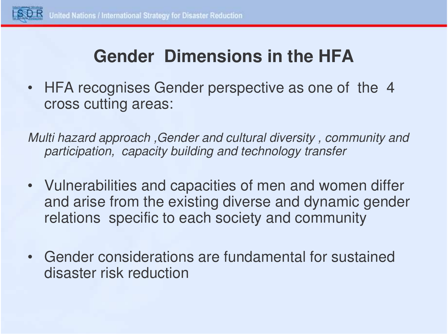

## **Gender Dimensions in the HFA**

• HFA recognises Gender perspective as one of the 4 cross cutting areas:

*Multi hazard approach ,Gender and cultural diversity , community and participation, capacity building and technology transfer*

- Vulnerabilities and capacities of men and women differ and arise from the existing diverse and dynamic gender relations specific to each society and community
- Gender considerations are fundamental for sustained disaster risk reduction